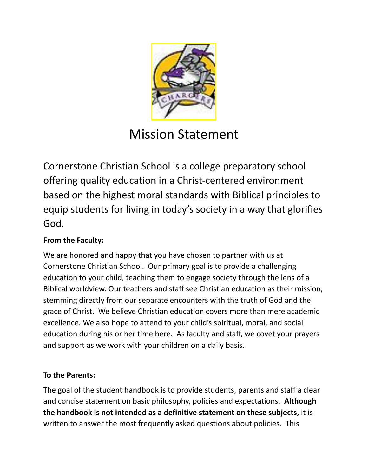

# Mission Statement

Cornerstone Christian School is a college preparatory school offering quality education in a Christ-centered environment based on the highest moral standards with Biblical principles to equip students for living in today's society in a way that glorifies God.

### **From the Faculty:**

We are honored and happy that you have chosen to partner with us at Cornerstone Christian School. Our primary goal is to provide a challenging education to your child, teaching them to engage society through the lens of a Biblical worldview. Our teachers and staff see Christian education as their mission, stemming directly from our separate encounters with the truth of God and the grace of Christ. We believe Christian education covers more than mere academic excellence. We also hope to attend to your child's spiritual, moral, and social education during his or her time here. As faculty and staff, we covet your prayers and support as we work with your children on a daily basis.

### **To the Parents:**

The goal of the student handbook is to provide students, parents and staff a clear and concise statement on basic philosophy, policies and expectations. **Although the handbook is not intended as a definitive statement on these subjects,** it is written to answer the most frequently asked questions about policies. This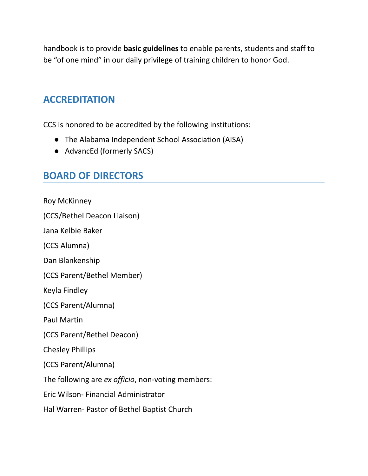handbook is to provide **basic guidelines** to enable parents, students and staff to be "of one mind" in our daily privilege of training children to honor God.

### **ACCREDITATION**

CCS is honored to be accredited by the following institutions:

- The Alabama Independent School Association (AISA)
- AdvancEd (formerly SACS)

## **BOARD OF DIRECTORS**

Roy McKinney

(CCS/Bethel Deacon Liaison)

Jana Kelbie Baker

(CCS Alumna)

Dan Blankenship

(CCS Parent/Bethel Member)

Keyla Findley

(CCS Parent/Alumna)

Paul Martin

(CCS Parent/Bethel Deacon)

Chesley Phillips

(CCS Parent/Alumna)

The following are *ex officio*, non-voting members:

Eric Wilson- Financial Administrator

Hal Warren- Pastor of Bethel Baptist Church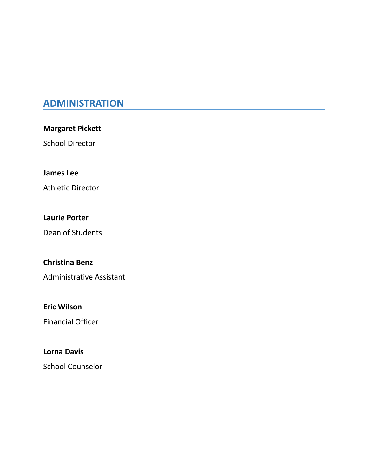## **ADMINISTRATION**

**Margaret Pickett**

School Director

### **James Lee**

Athletic Director

#### **Laurie Porter**

Dean of Students

### **Christina Benz**

Administrative Assistant

### **Eric Wilson**

Financial Officer

#### **Lorna Davis**

School Counselor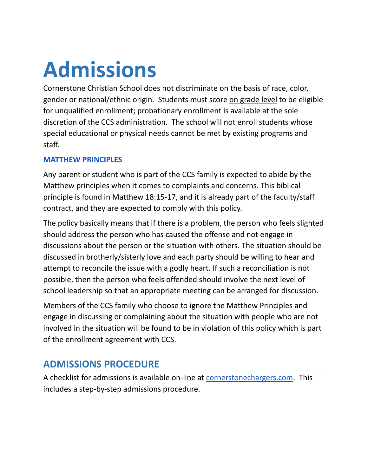# **Admissions**

Cornerstone Christian School does not discriminate on the basis of race, color, gender or national/ethnic origin. Students must score on grade level to be eligible for unqualified enrollment; probationary enrollment is available at the sole discretion of the CCS administration. The school will not enroll students whose special educational or physical needs cannot be met by existing programs and staff.

### **MATTHEW PRINCIPLES**

Any parent or student who is part of the CCS family is expected to abide by the Matthew principles when it comes to complaints and concerns. This biblical principle is found in Matthew 18:15-17, and it is already part of the faculty/staff contract, and they are expected to comply with this policy.

The policy basically means that if there is a problem, the person who feels slighted should address the person who has caused the offense and not engage in discussions about the person or the situation with others. The situation should be discussed in brotherly/sisterly love and each party should be willing to hear and attempt to reconcile the issue with a godly heart. If such a reconciliation is not possible, then the person who feels offended should involve the next level of school leadership so that an appropriate meeting can be arranged for discussion.

Members of the CCS family who choose to ignore the Matthew Principles and engage in discussing or complaining about the situation with people who are not involved in the situation will be found to be in violation of this policy which is part of the enrollment agreement with CCS.

# **ADMISSIONS PROCEDURE**

A checklist for admissions is available on-line at [cornerstonechargers.com.](https://www.cornerstonechargers.com/admissions) This includes a step-by-step admissions procedure.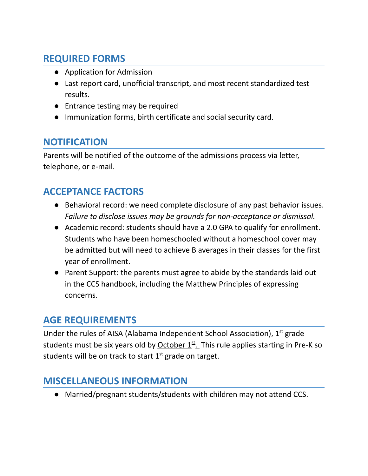# **REQUIRED FORMS**

- Application for Admission
- Last report card, unofficial transcript, and most recent standardized test results.
- Entrance testing may be required
- Immunization forms, birth certificate and social security card.

## **NOTIFICATION**

Parents will be notified of the outcome of the admissions process via letter, telephone, or e-mail.

## **ACCEPTANCE FACTORS**

- Behavioral record: we need complete disclosure of any past behavior issues. *Failure to disclose issues may be grounds for non-acceptance or dismissal.*
- Academic record: students should have a 2.0 GPA to qualify for enrollment. Students who have been homeschooled without a homeschool cover may be admitted but will need to achieve B averages in their classes for the first year of enrollment.
- Parent Support: the parents must agree to abide by the standards laid out in the CCS handbook, including the Matthew Principles of expressing concerns.

## **AGE REQUIREMENTS**

Under the rules of AISA (Alabama Independent School Association),  $1<sup>st</sup>$  grade students must be six years old by <u>October 1<sup>st</sup>.</u> This rule applies starting in Pre-K so students will be on track to start  $1<sup>st</sup>$  grade on target.

## **MISCELLANEOUS INFORMATION**

● Married/pregnant students/students with children may not attend CCS.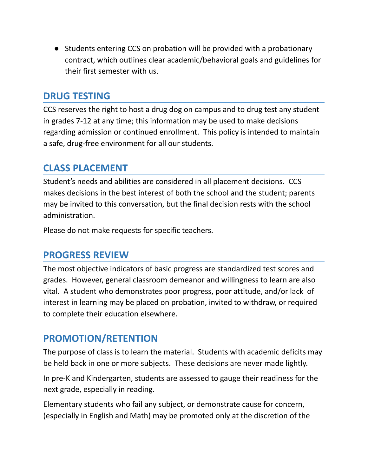● Students entering CCS on probation will be provided with a probationary contract, which outlines clear academic/behavioral goals and guidelines for their first semester with us.

### **DRUG TESTING**

CCS reserves the right to host a drug dog on campus and to drug test any student in grades 7-12 at any time; this information may be used to make decisions regarding admission or continued enrollment. This policy is intended to maintain a safe, drug-free environment for all our students.

## **CLASS PLACEMENT**

Student's needs and abilities are considered in all placement decisions. CCS makes decisions in the best interest of both the school and the student; parents may be invited to this conversation, but the final decision rests with the school administration.

Please do not make requests for specific teachers.

## **PROGRESS REVIEW**

The most objective indicators of basic progress are standardized test scores and grades. However, general classroom demeanor and willingness to learn are also vital. A student who demonstrates poor progress, poor attitude, and/or lack of interest in learning may be placed on probation, invited to withdraw, or required to complete their education elsewhere.

## **PROMOTION/RETENTION**

The purpose of class is to learn the material. Students with academic deficits may be held back in one or more subjects. These decisions are never made lightly.

In pre-K and Kindergarten, students are assessed to gauge their readiness for the next grade, especially in reading.

Elementary students who fail any subject, or demonstrate cause for concern, (especially in English and Math) may be promoted only at the discretion of the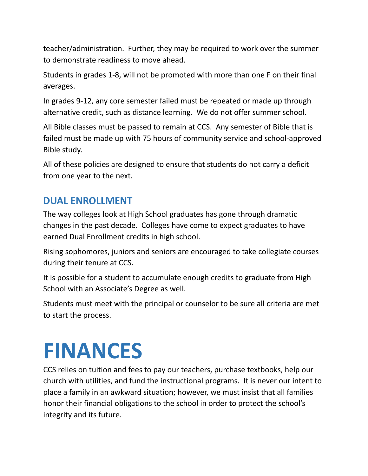teacher/administration. Further, they may be required to work over the summer to demonstrate readiness to move ahead.

Students in grades 1-8, will not be promoted with more than one F on their final averages.

In grades 9-12, any core semester failed must be repeated or made up through alternative credit, such as distance learning. We do not offer summer school.

All Bible classes must be passed to remain at CCS. Any semester of Bible that is failed must be made up with 75 hours of community service and school-approved Bible study.

All of these policies are designed to ensure that students do not carry a deficit from one year to the next.

# **DUAL ENROLLMENT**

The way colleges look at High School graduates has gone through dramatic changes in the past decade. Colleges have come to expect graduates to have earned Dual Enrollment credits in high school.

Rising sophomores, juniors and seniors are encouraged to take collegiate courses during their tenure at CCS.

It is possible for a student to accumulate enough credits to graduate from High School with an Associate's Degree as well.

Students must meet with the principal or counselor to be sure all criteria are met to start the process.

# **FINANCES**

CCS relies on tuition and fees to pay our teachers, purchase textbooks, help our church with utilities, and fund the instructional programs. It is never our intent to place a family in an awkward situation; however, we must insist that all families honor their financial obligations to the school in order to protect the school's integrity and its future.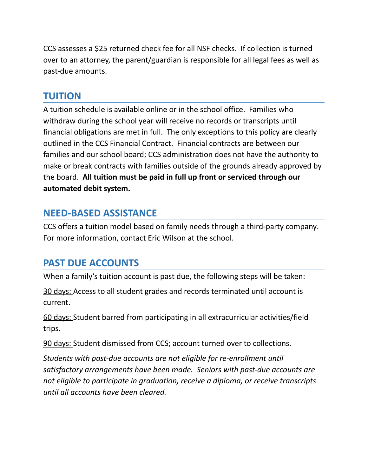CCS assesses a \$25 returned check fee for all NSF checks. If collection is turned over to an attorney, the parent/guardian is responsible for all legal fees as well as past-due amounts.

### **TUITION**

A tuition schedule is available online or in the school office. Families who withdraw during the school year will receive no records or transcripts until financial obligations are met in full. The only exceptions to this policy are clearly outlined in the CCS Financial Contract. Financial contracts are between our families and our school board; CCS administration does not have the authority to make or break contracts with families outside of the grounds already approved by the board. **All tuition must be paid in full up front or serviced through our automated debit system.**

## **NEED-BASED ASSISTANCE**

CCS offers a tuition model based on family needs through a third-party company. For more information, contact Eric Wilson at the school.

## **PAST DUE ACCOUNTS**

When a family's tuition account is past due, the following steps will be taken:

30 days: Access to all student grades and records terminated until account is current.

60 days: Student barred from participating in all extracurricular activities/field trips.

90 days: Student dismissed from CCS; account turned over to collections.

*Students with past-due accounts are not eligible for re-enrollment until satisfactory arrangements have been made. Seniors with past-due accounts are not eligible to participate in graduation, receive a diploma, or receive transcripts until all accounts have been cleared.*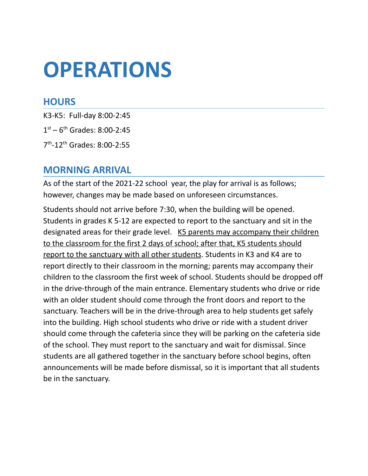# **OPERATIONS**

### **HOURS**

K3-K5: Full-day 8:00-2:45  $1<sup>st</sup> - 6<sup>th</sup>$  Grades: 8:00-2:45

7<sup>th</sup>-12<sup>th</sup> Grades: 8:00-2:55

### **MORNING ARRIVAL**

As of the start of the 2021-22 school year, the play for arrival is as follows; however, changes may be made based on unforeseen circumstances.

Students should not arrive before 7:30, when the building will be opened. Students in grades K 5-12 are expected to report to the sanctuary and sit in the designated areas for their grade level. K5 parents may accompany their children to the classroom for the first 2 days of school; after that, K5 students should report to the sanctuary with all other students. Students in K3 and K4 are to report directly to their classroom in the morning; parents may accompany their children to the classroom the first week of school. Students should be dropped off in the drive-through of the main entrance. Elementary students who drive or ride with an older student should come through the front doors and report to the sanctuary. Teachers will be in the drive-through area to help students get safely into the building. High school students who drive or ride with a student driver should come through the cafeteria since they will be parking on the cafeteria side of the school. They must report to the sanctuary and wait for dismissal. Since students are all gathered together in the sanctuary before school begins, often announcements will be made before dismissal, so it is important that all students be in the sanctuary.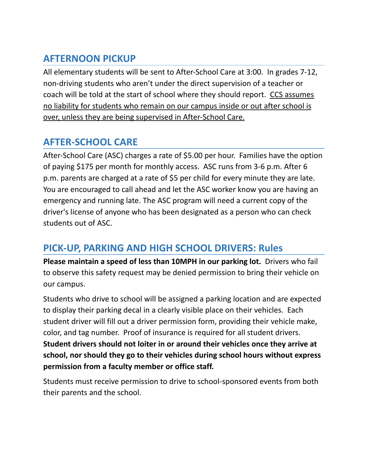# **AFTERNOON PICKUP**

All elementary students will be sent to After-School Care at 3:00. In grades 7-12, non-driving students who aren't under the direct supervision of a teacher or coach will be told at the start of school where they should report. CCS assumes no liability for students who remain on our campus inside or out after school is over, unless they are being supervised in After-School Care.

## **AFTER-SCHOOL CARE**

After-School Care (ASC) charges a rate of \$5.00 per hour. Families have the option of paying \$175 per month for monthly access. ASC runs from 3-6 p.m. After 6 p.m. parents are charged at a rate of \$5 per child for every minute they are late. You are encouraged to call ahead and let the ASC worker know you are having an emergency and running late. The ASC program will need a current copy of the driver's license of anyone who has been designated as a person who can check students out of ASC.

## **PICK-UP, PARKING AND HIGH SCHOOL DRIVERS: Rules**

**Please maintain a speed of less than 10MPH in our parking lot.** Drivers who fail to observe this safety request may be denied permission to bring their vehicle on our campus.

Students who drive to school will be assigned a parking location and are expected to display their parking decal in a clearly visible place on their vehicles. Each student driver will fill out a driver permission form, providing their vehicle make, color, and tag number. Proof of insurance is required for all student drivers. **Student drivers should not loiter in or around their vehicles once they arrive at school, nor should they go to their vehicles during school hours without express permission from a faculty member or office staff.**

Students must receive permission to drive to school-sponsored events from both their parents and the school.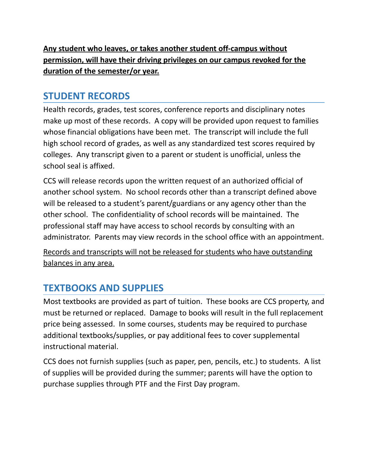**Any student who leaves, or takes another student off-campus without permission, will have their driving privileges on our campus revoked for the duration of the semester/or year.**

## **STUDENT RECORDS**

Health records, grades, test scores, conference reports and disciplinary notes make up most of these records. A copy will be provided upon request to families whose financial obligations have been met. The transcript will include the full high school record of grades, as well as any standardized test scores required by colleges. Any transcript given to a parent or student is unofficial, unless the school seal is affixed.

CCS will release records upon the written request of an authorized official of another school system. No school records other than a transcript defined above will be released to a student's parent/guardians or any agency other than the other school. The confidentiality of school records will be maintained. The professional staff may have access to school records by consulting with an administrator. Parents may view records in the school office with an appointment.

Records and transcripts will not be released for students who have outstanding balances in any area.

# **TEXTBOOKS AND SUPPLIES**

Most textbooks are provided as part of tuition. These books are CCS property, and must be returned or replaced. Damage to books will result in the full replacement price being assessed. In some courses, students may be required to purchase additional textbooks/supplies, or pay additional fees to cover supplemental instructional material.

CCS does not furnish supplies (such as paper, pen, pencils, etc.) to students. A list of supplies will be provided during the summer; parents will have the option to purchase supplies through PTF and the First Day program.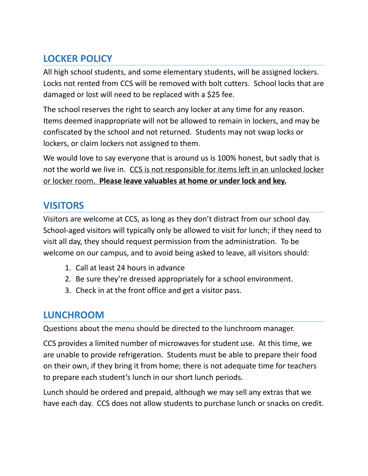# **LOCKER POLICY**

All high school students, and some elementary students, will be assigned lockers. Locks not rented from CCS will be removed with bolt cutters. School locks that are damaged or lost will need to be replaced with a \$25 fee.

The school reserves the right to search any locker at any time for any reason. Items deemed inappropriate will not be allowed to remain in lockers, and may be confiscated by the school and not returned. Students may not swap locks or lockers, or claim lockers not assigned to them.

We would love to say everyone that is around us is 100% honest, but sadly that is not the world we live in. CCS is not responsible for items left in an unlocked locker or locker room. **Please leave valuables at home or under lock and key.**

## **VISITORS**

Visitors are welcome at CCS, as long as they don't distract from our school day. School-aged visitors will typically only be allowed to visit for lunch; if they need to visit all day, they should request permission from the administration. To be welcome on our campus, and to avoid being asked to leave, all visitors should:

- 1. Call at least 24 hours in advance
- 2. Be sure they're dressed appropriately for a school environment.
- 3. Check in at the front office and get a visitor pass.

## **LUNCHROOM**

Questions about the menu should be directed to the lunchroom manager.

CCS provides a limited number of microwaves for student use. At this time, we are unable to provide refrigeration. Students must be able to prepare their food on their own, if they bring it from home; there is not adequate time for teachers to prepare each student's lunch in our short lunch periods.

Lunch should be ordered and prepaid, although we may sell any extras that we have each day. CCS does not allow students to purchase lunch or snacks on credit.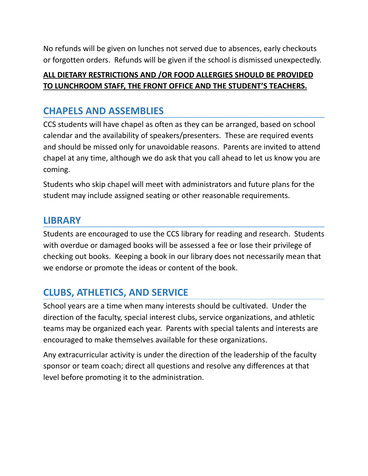No refunds will be given on lunches not served due to absences, early checkouts or forgotten orders. Refunds will be given if the school is dismissed unexpectedly.

### **ALL DIETARY RESTRICTIONS AND /OR FOOD ALLERGIES SHOULD BE PROVIDED TO LUNCHROOM STAFF, THE FRONT OFFICE AND THE STUDENT'S TEACHERS.**

## **CHAPELS AND ASSEMBLIES**

CCS students will have chapel as often as they can be arranged, based on school calendar and the availability of speakers/presenters. These are required events and should be missed only for unavoidable reasons. Parents are invited to attend chapel at any time, although we do ask that you call ahead to let us know you are coming.

Students who skip chapel will meet with administrators and future plans for the student may include assigned seating or other reasonable requirements.

## **LIBRARY**

Students are encouraged to use the CCS library for reading and research. Students with overdue or damaged books will be assessed a fee or lose their privilege of checking out books. Keeping a book in our library does not necessarily mean that we endorse or promote the ideas or content of the book.

# **CLUBS, ATHLETICS, AND SERVICE**

School years are a time when many interests should be cultivated. Under the direction of the faculty, special interest clubs, service organizations, and athletic teams may be organized each year. Parents with special talents and interests are encouraged to make themselves available for these organizations.

Any extracurricular activity is under the direction of the leadership of the faculty sponsor or team coach; direct all questions and resolve any differences at that level before promoting it to the administration.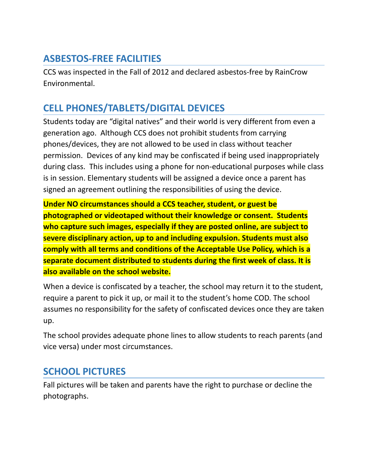## **ASBESTOS-FREE FACILITIES**

CCS was inspected in the Fall of 2012 and declared asbestos-free by RainCrow Environmental.

# **CELL PHONES/TABLETS/DIGITAL DEVICES**

Students today are "digital natives" and their world is very different from even a generation ago. Although CCS does not prohibit students from carrying phones/devices, they are not allowed to be used in class without teacher permission. Devices of any kind may be confiscated if being used inappropriately during class. This includes using a phone for non-educational purposes while class is in session. Elementary students will be assigned a device once a parent has signed an agreement outlining the responsibilities of using the device.

**Under NO circumstances should a CCS teacher, student, or guest be photographed or videotaped without their knowledge or consent. Students who capture such images, especially if they are posted online, are subject to severe disciplinary action, up to and including expulsion. Students must also comply with all terms and conditions of the Acceptable Use Policy, which is a separate document distributed to students during the first week of class. It is also available on the school website.**

When a device is confiscated by a teacher, the school may return it to the student, require a parent to pick it up, or mail it to the student's home COD. The school assumes no responsibility for the safety of confiscated devices once they are taken up.

The school provides adequate phone lines to allow students to reach parents (and vice versa) under most circumstances.

# **SCHOOL PICTURES**

Fall pictures will be taken and parents have the right to purchase or decline the photographs.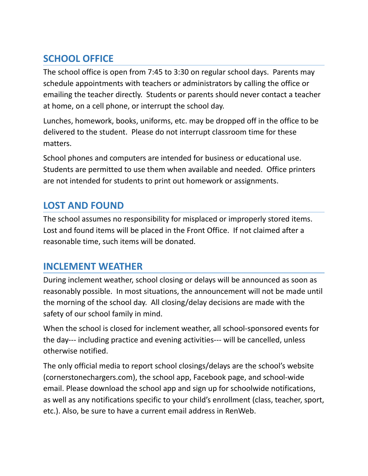# **SCHOOL OFFICE**

The school office is open from 7:45 to 3:30 on regular school days. Parents may schedule appointments with teachers or administrators by calling the office or emailing the teacher directly. Students or parents should never contact a teacher at home, on a cell phone, or interrupt the school day.

Lunches, homework, books, uniforms, etc. may be dropped off in the office to be delivered to the student. Please do not interrupt classroom time for these matters.

School phones and computers are intended for business or educational use. Students are permitted to use them when available and needed. Office printers are not intended for students to print out homework or assignments.

# **LOST AND FOUND**

The school assumes no responsibility for misplaced or improperly stored items. Lost and found items will be placed in the Front Office. If not claimed after a reasonable time, such items will be donated.

## **INCLEMENT WEATHER**

During inclement weather, school closing or delays will be announced as soon as reasonably possible. In most situations, the announcement will not be made until the morning of the school day. All closing/delay decisions are made with the safety of our school family in mind.

When the school is closed for inclement weather, all school-sponsored events for the day--- including practice and evening activities--- will be cancelled, unless otherwise notified.

The only official media to report school closings/delays are the school's website (cornerstonechargers.com), the school app, Facebook page, and school-wide email. Please download the school app and sign up for schoolwide notifications, as well as any notifications specific to your child's enrollment (class, teacher, sport, etc.). Also, be sure to have a current email address in RenWeb.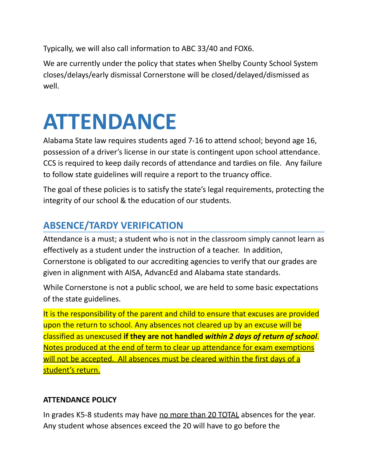Typically, we will also call information to ABC 33/40 and FOX6.

We are currently under the policy that states when Shelby County School System closes/delays/early dismissal Cornerstone will be closed/delayed/dismissed as well.

# **ATTENDANCE**

Alabama State law requires students aged 7-16 to attend school; beyond age 16, possession of a driver's license in our state is contingent upon school attendance. CCS is required to keep daily records of attendance and tardies on file. Any failure to follow state guidelines will require a report to the truancy office.

The goal of these policies is to satisfy the state's legal requirements, protecting the integrity of our school & the education of our students.

# **ABSENCE/TARDY VERIFICATION**

Attendance is a must; a student who is not in the classroom simply cannot learn as effectively as a student under the instruction of a teacher. In addition, Cornerstone is obligated to our accrediting agencies to verify that our grades are given in alignment with AISA, AdvancEd and Alabama state standards.

While Cornerstone is not a public school, we are held to some basic expectations of the state guidelines.

It is the responsibility of the parent and child to ensure that excuses are provided upon the return to school. Any absences not cleared up by an excuse will be classified as unexcused **if they are not handled** *within 2 days of return of school*. Notes produced at the end of term to clear up attendance for exam exemptions will not be accepted. All absences must be cleared within the first days of a student's return.

### **ATTENDANCE POLICY**

In grades K5-8 students may have no more than 20 TOTAL absences for the year. Any student whose absences exceed the 20 will have to go before the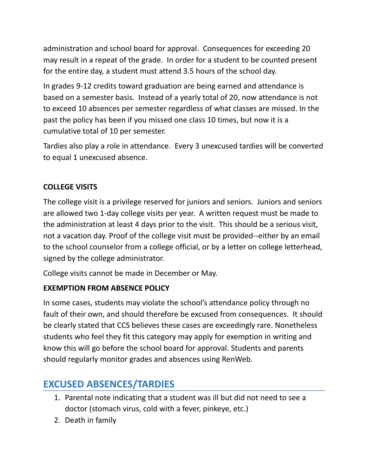administration and school board for approval. Consequences for exceeding 20 may result in a repeat of the grade. In order for a student to be counted present for the entire day, a student must attend 3.5 hours of the school day.

In grades 9-12 credits toward graduation are being earned and attendance is based on a semester basis. Instead of a yearly total of 20, now attendance is not to exceed 10 absences per semester regardless of what classes are missed. In the past the policy has been if you missed one class 10 times, but now it is a cumulative total of 10 per semester.

Tardies also play a role in attendance. Every 3 unexcused tardies will be converted to equal 1 unexcused absence.

### **COLLEGE VISITS**

The college visit is a privilege reserved for juniors and seniors. Juniors and seniors are allowed two 1-day college visits per year. A written request must be made to the administration at least 4 days prior to the visit. This should be a serious visit, not a vacation day. Proof of the college visit must be provided--either by an email to the school counselor from a college official, or by a letter on college letterhead, signed by the college administrator.

College visits cannot be made in December or May.

### **EXEMPTION FROM ABSENCE POLICY**

In some cases, students may violate the school's attendance policy through no fault of their own, and should therefore be excused from consequences. It should be clearly stated that CCS believes these cases are exceedingly rare. Nonetheless students who feel they fit this category may apply for exemption in writing and know this will go before the school board for approval. Students and parents should regularly monitor grades and absences using RenWeb.

# **EXCUSED ABSENCES/TARDIES**

- 1. Parental note indicating that a student was ill but did not need to see a doctor (stomach virus, cold with a fever, pinkeye, etc.)
- 2. Death in family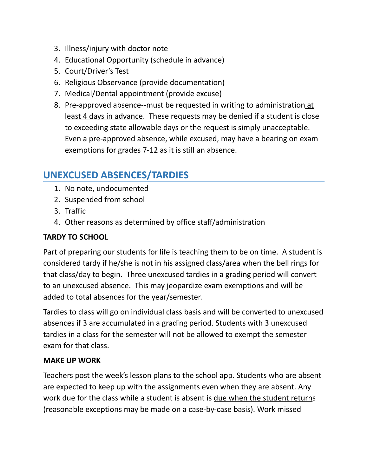- 3. Illness/injury with doctor note
- 4. Educational Opportunity (schedule in advance)
- 5. Court/Driver's Test
- 6. Religious Observance (provide documentation)
- 7. Medical/Dental appointment (provide excuse)
- 8. Pre-approved absence--must be requested in writing to administration at least 4 days in advance. These requests may be denied if a student is close to exceeding state allowable days or the request is simply unacceptable. Even a pre-approved absence, while excused, may have a bearing on exam exemptions for grades 7-12 as it is still an absence.

# **UNEXCUSED ABSENCES/TARDIES**

- 1. No note, undocumented
- 2. Suspended from school
- 3. Traffic
- 4. Other reasons as determined by office staff/administration

### **TARDY TO SCHOOL**

Part of preparing our students for life is teaching them to be on time. A student is considered tardy if he/she is not in his assigned class/area when the bell rings for that class/day to begin. Three unexcused tardies in a grading period will convert to an unexcused absence. This may jeopardize exam exemptions and will be added to total absences for the year/semester.

Tardies to class will go on individual class basis and will be converted to unexcused absences if 3 are accumulated in a grading period. Students with 3 unexcused tardies in a class for the semester will not be allowed to exempt the semester exam for that class.

### **MAKE UP WORK**

Teachers post the week's lesson plans to the school app. Students who are absent are expected to keep up with the assignments even when they are absent. Any work due for the class while a student is absent is due when the student returns (reasonable exceptions may be made on a case-by-case basis). Work missed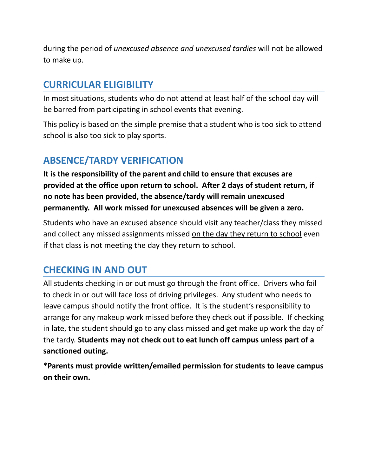during the period of *unexcused absence and unexcused tardies* will not be allowed to make up.

## **CURRICULAR ELIGIBILITY**

In most situations, students who do not attend at least half of the school day will be barred from participating in school events that evening.

This policy is based on the simple premise that a student who is too sick to attend school is also too sick to play sports.

# **ABSENCE/TARDY VERIFICATION**

**It is the responsibility of the parent and child to ensure that excuses are provided at the office upon return to school. After 2 days of student return, if no note has been provided, the absence/tardy will remain unexcused permanently. All work missed for unexcused absences will be given a zero.**

Students who have an excused absence should visit any teacher/class they missed and collect any missed assignments missed on the day they return to school even if that class is not meeting the day they return to school.

# **CHECKING IN AND OUT**

All students checking in or out must go through the front office. Drivers who fail to check in or out will face loss of driving privileges. Any student who needs to leave campus should notify the front office. It is the student's responsibility to arrange for any makeup work missed before they check out if possible. If checking in late, the student should go to any class missed and get make up work the day of the tardy. **Students may not check out to eat lunch off campus unless part of a sanctioned outing.**

**\*Parents must provide written/emailed permission for students to leave campus on their own.**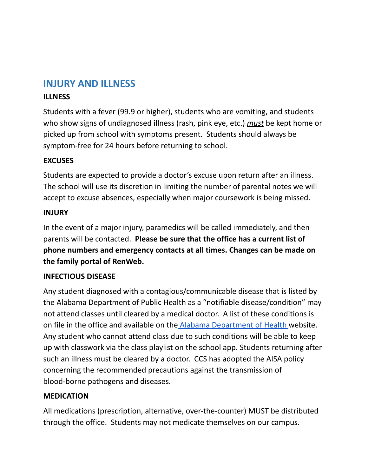### **INJURY AND ILLNESS**

### **ILLNESS**

Students with a fever (99.9 or higher), students who are vomiting, and students who show signs of undiagnosed illness (rash, pink eye, etc.) *must* be kept home or picked up from school with symptoms present. Students should always be symptom-free for 24 hours before returning to school.

### **EXCUSES**

Students are expected to provide a doctor's excuse upon return after an illness. The school will use its discretion in limiting the number of parental notes we will accept to excuse absences, especially when major coursework is being missed.

#### **INJURY**

In the event of a major injury, paramedics will be called immediately, and then parents will be contacted. **Please be sure that the office has a current list of phone numbers and emergency contacts at all times. Changes can be made on the family portal of RenWeb.**

### **INFECTIOUS DISEASE**

Any student diagnosed with a contagious/communicable disease that is listed by the Alabama Department of Public Health as a "notifiable disease/condition" may not attend classes until cleared by a medical doctor. A list of these conditions is on file in the office and available on the Alabama [Department](https://www.alabamapublichealth.gov/bcd/) of Health website. Any student who cannot attend class due to such conditions will be able to keep up with classwork via the class playlist on the school app. Students returning after such an illness must be cleared by a doctor. CCS has adopted the AISA policy concerning the recommended precautions against the transmission of blood-borne pathogens and diseases.

### **MEDICATION**

All medications (prescription, alternative, over-the-counter) MUST be distributed through the office. Students may not medicate themselves on our campus.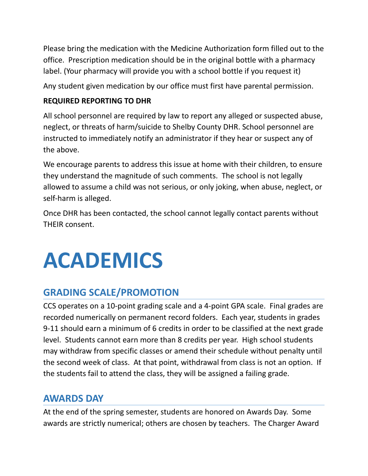Please bring the medication with the Medicine Authorization form filled out to the office. Prescription medication should be in the original bottle with a pharmacy label. (Your pharmacy will provide you with a school bottle if you request it)

Any student given medication by our office must first have parental permission.

### **REQUIRED REPORTING TO DHR**

All school personnel are required by law to report any alleged or suspected abuse, neglect, or threats of harm/suicide to Shelby County DHR. School personnel are instructed to immediately notify an administrator if they hear or suspect any of the above.

We encourage parents to address this issue at home with their children, to ensure they understand the magnitude of such comments. The school is not legally allowed to assume a child was not serious, or only joking, when abuse, neglect, or self-harm is alleged.

Once DHR has been contacted, the school cannot legally contact parents without THEIR consent.

# **ACADEMICS**

# **GRADING SCALE/PROMOTION**

CCS operates on a 10-point grading scale and a 4-point GPA scale. Final grades are recorded numerically on permanent record folders. Each year, students in grades 9-11 should earn a minimum of 6 credits in order to be classified at the next grade level. Students cannot earn more than 8 credits per year. High school students may withdraw from specific classes or amend their schedule without penalty until the second week of class. At that point, withdrawal from class is not an option. If the students fail to attend the class, they will be assigned a failing grade.

# **AWARDS DAY**

At the end of the spring semester, students are honored on Awards Day. Some awards are strictly numerical; others are chosen by teachers. The Charger Award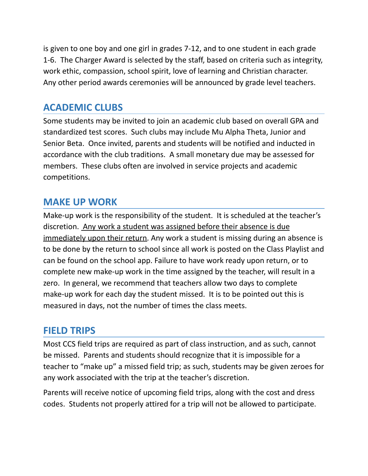is given to one boy and one girl in grades 7-12, and to one student in each grade 1-6. The Charger Award is selected by the staff, based on criteria such as integrity, work ethic, compassion, school spirit, love of learning and Christian character. Any other period awards ceremonies will be announced by grade level teachers.

## **ACADEMIC CLUBS**

Some students may be invited to join an academic club based on overall GPA and standardized test scores. Such clubs may include Mu Alpha Theta, Junior and Senior Beta. Once invited, parents and students will be notified and inducted in accordance with the club traditions. A small monetary due may be assessed for members. These clubs often are involved in service projects and academic competitions.

# **MAKE UP WORK**

Make-up work is the responsibility of the student. It is scheduled at the teacher's discretion. Any work a student was assigned before their absence is due immediately upon their return. Any work a student is missing during an absence is to be done by the return to school since all work is posted on the Class Playlist and can be found on the school app. Failure to have work ready upon return, or to complete new make-up work in the time assigned by the teacher, will result in a zero. In general, we recommend that teachers allow two days to complete make-up work for each day the student missed. It is to be pointed out this is measured in days, not the number of times the class meets.

### **FIELD TRIPS**

Most CCS field trips are required as part of class instruction, and as such, cannot be missed. Parents and students should recognize that it is impossible for a teacher to "make up" a missed field trip; as such, students may be given zeroes for any work associated with the trip at the teacher's discretion.

Parents will receive notice of upcoming field trips, along with the cost and dress codes. Students not properly attired for a trip will not be allowed to participate.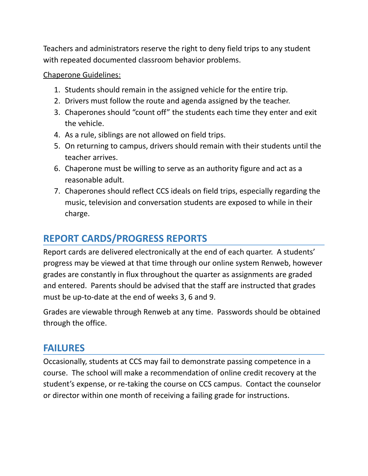Teachers and administrators reserve the right to deny field trips to any student with repeated documented classroom behavior problems.

#### Chaperone Guidelines:

- 1. Students should remain in the assigned vehicle for the entire trip.
- 2. Drivers must follow the route and agenda assigned by the teacher.
- 3. Chaperones should "count off" the students each time they enter and exit the vehicle.
- 4. As a rule, siblings are not allowed on field trips.
- 5. On returning to campus, drivers should remain with their students until the teacher arrives.
- 6. Chaperone must be willing to serve as an authority figure and act as a reasonable adult.
- 7. Chaperones should reflect CCS ideals on field trips, especially regarding the music, television and conversation students are exposed to while in their charge.

# **REPORT CARDS/PROGRESS REPORTS**

Report cards are delivered electronically at the end of each quarter. A students' progress may be viewed at that time through our online system Renweb, however grades are constantly in flux throughout the quarter as assignments are graded and entered. Parents should be advised that the staff are instructed that grades must be up-to-date at the end of weeks 3, 6 and 9.

Grades are viewable through Renweb at any time. Passwords should be obtained through the office.

### **FAILURES**

Occasionally, students at CCS may fail to demonstrate passing competence in a course. The school will make a recommendation of online credit recovery at the student's expense, or re-taking the course on CCS campus. Contact the counselor or director within one month of receiving a failing grade for instructions.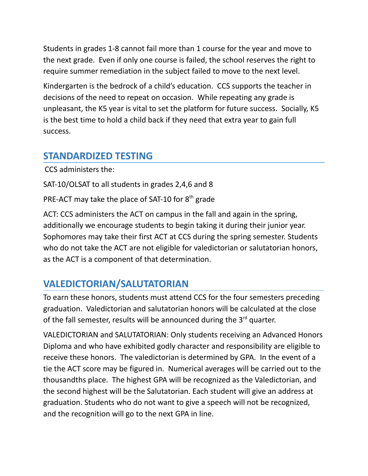Students in grades 1-8 cannot fail more than 1 course for the year and move to the next grade. Even if only one course is failed, the school reserves the right to require summer remediation in the subject failed to move to the next level.

Kindergarten is the bedrock of a child's education. CCS supports the teacher in decisions of the need to repeat on occasion. While repeating any grade is unpleasant, the K5 year is vital to set the platform for future success. Socially, K5 is the best time to hold a child back if they need that extra year to gain full success.

## **STANDARDIZED TESTING**

CCS administers the:

SAT-10/OLSAT to all students in grades 2,4,6 and 8

PRE-ACT may take the place of SAT-10 for  $8<sup>th</sup>$  grade

ACT: CCS administers the ACT on campus in the fall and again in the spring, additionally we encourage students to begin taking it during their junior year. Sophomores may take their first ACT at CCS during the spring semester. Students who do not take the ACT are not eligible for valedictorian or salutatorian honors, as the ACT is a component of that determination.

# **VALEDICTORIAN/SALUTATORIAN**

To earn these honors, students must attend CCS for the four semesters preceding graduation. Valedictorian and salutatorian honors will be calculated at the close of the fall semester, results will be announced during the 3<sup>rd</sup> quarter.

VALEDICTORIAN and SALUTATORIAN: Only students receiving an Advanced Honors Diploma and who have exhibited godly character and responsibility are eligible to receive these honors. The valedictorian is determined by GPA. In the event of a tie the ACT score may be figured in. Numerical averages will be carried out to the thousandths place. The highest GPA will be recognized as the Valedictorian, and the second highest will be the Salutatorian. Each student will give an address at graduation. Students who do not want to give a speech will not be recognized, and the recognition will go to the next GPA in line.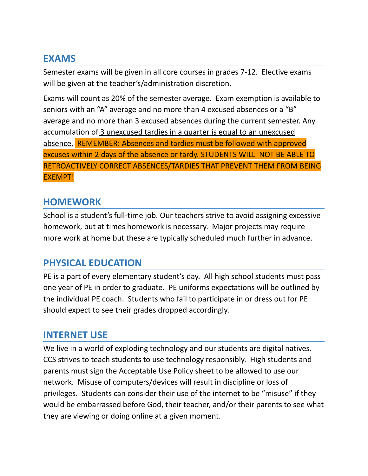## **EXAMS**

Semester exams will be given in all core courses in grades 7-12. Elective exams will be given at the teacher's/administration discretion.

Exams will count as 20% of the semester average. Exam exemption is available to seniors with an "A" average and no more than 4 excused absences or a "B" average and no more than 3 excused absences during the current semester. Any accumulation of 3 unexcused tardies in a quarter is equal to an unexcused absence. REMEMBER: Absences and tardies must be followed with approved excuses within 2 days of the absence or tardy. STUDENTS WILL NOT BE ABLE TO RETROACTIVELY CORRECT ABSENCES/TARDIES THAT PREVENT THEM FROM BEING EXEMPT!

### **HOMEWORK**

School is a student's full-time job. Our teachers strive to avoid assigning excessive homework, but at times homework is necessary. Major projects may require more work at home but these are typically scheduled much further in advance.

## **PHYSICAL EDUCATION**

PE is a part of every elementary student's day. All high school students must pass one year of PE in order to graduate. PE uniforms expectations will be outlined by the individual PE coach. Students who fail to participate in or dress out for PE should expect to see their grades dropped accordingly.

### **INTERNET USE**

We live in a world of exploding technology and our students are digital natives. CCS strives to teach students to use technology responsibly. High students and parents must sign the Acceptable Use Policy sheet to be allowed to use our network. Misuse of computers/devices will result in discipline or loss of privileges. Students can consider their use of the internet to be "misuse" if they would be embarrassed before God, their teacher, and/or their parents to see what they are viewing or doing online at a given moment.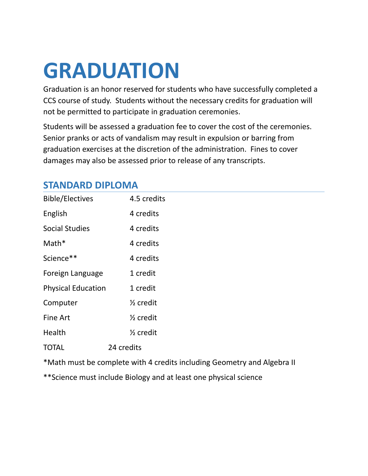# **GRADUATION**

Graduation is an honor reserved for students who have successfully completed a CCS course of study. Students without the necessary credits for graduation will not be permitted to participate in graduation ceremonies.

Students will be assessed a graduation fee to cover the cost of the ceremonies. Senior pranks or acts of vandalism may result in expulsion or barring from graduation exercises at the discretion of the administration. Fines to cover damages may also be assessed prior to release of any transcripts.

# **STANDARD DIPLOMA**

| <b>Bible/Electives</b>    | 4.5 credits          |
|---------------------------|----------------------|
| English                   | 4 credits            |
| <b>Social Studies</b>     | 4 credits            |
| $Math*$                   | 4 credits            |
| Science**                 | 4 credits            |
| Foreign Language          | 1 credit             |
| <b>Physical Education</b> | 1 credit             |
| Computer                  | $\frac{1}{2}$ credit |
| <b>Fine Art</b>           | $\frac{1}{2}$ credit |
| Health                    | $\frac{1}{2}$ credit |
| TOTAL                     | 24 credits           |

\*Math must be complete with 4 credits including Geometry and Algebra II

\*\*Science must include Biology and at least one physical science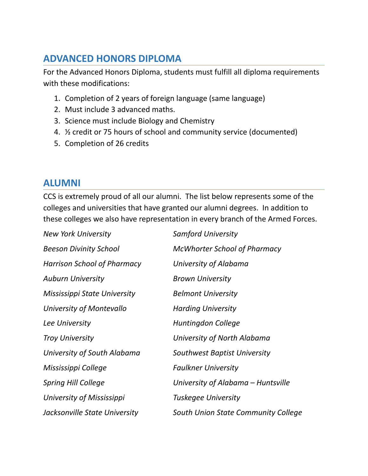# **ADVANCED HONORS DIPLOMA**

For the Advanced Honors Diploma, students must fulfill all diploma requirements with these modifications:

- 1. Completion of 2 years of foreign language (same language)
- 2. Must include 3 advanced maths.
- 3. Science must include Biology and Chemistry
- 4. ½ credit or 75 hours of school and community service (documented)
- 5. Completion of 26 credits

### **ALUMNI**

CCS is extremely proud of all our alumni. The list below represents some of the colleges and universities that have granted our alumni degrees. In addition to these colleges we also have representation in every branch of the Armed Forces.

| <b>New York University</b>    | <b>Samford University</b>           |
|-------------------------------|-------------------------------------|
| <b>Beeson Divinity School</b> | <b>McWhorter School of Pharmacy</b> |
| Harrison School of Pharmacy   | University of Alabama               |
| <b>Auburn University</b>      | <b>Brown University</b>             |
| Mississippi State University  | <b>Belmont University</b>           |
| University of Montevallo      | <b>Harding University</b>           |
| Lee University                | Huntingdon College                  |
| <b>Troy University</b>        | University of North Alabama         |
| University of South Alabama   | Southwest Baptist University        |
| Mississippi College           | <b>Faulkner University</b>          |
| <b>Spring Hill College</b>    | University of Alabama – Huntsville  |
| University of Mississippi     | Tuskegee University                 |
| Jacksonville State University | South Union State Community College |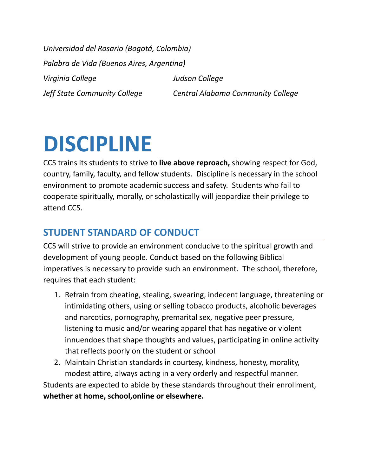*Universidad del Rosario (Bogotá, Colombia) Palabra de Vida (Buenos Aires, Argentina) Virginia College Judson College Jeff State Community College Central Alabama Community College*

# **DISCIPLINE**

CCS trains its students to strive to **live above reproach,** showing respect for God, country, family, faculty, and fellow students. Discipline is necessary in the school environment to promote academic success and safety. Students who fail to cooperate spiritually, morally, or scholastically will jeopardize their privilege to attend CCS.

# **STUDENT STANDARD OF CONDUCT**

CCS will strive to provide an environment conducive to the spiritual growth and development of young people. Conduct based on the following Biblical imperatives is necessary to provide such an environment. The school, therefore, requires that each student:

- 1. Refrain from cheating, stealing, swearing, indecent language, threatening or intimidating others, using or selling tobacco products, alcoholic beverages and narcotics, pornography, premarital sex, negative peer pressure, listening to music and/or wearing apparel that has negative or violent innuendoes that shape thoughts and values, participating in online activity that reflects poorly on the student or school
- 2. Maintain Christian standards in courtesy, kindness, honesty, morality, modest attire, always acting in a very orderly and respectful manner.

Students are expected to abide by these standards throughout their enrollment, **whether at home, school,online or elsewhere.**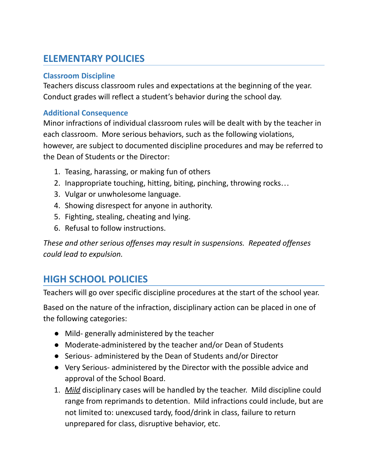# **ELEMENTARY POLICIES**

### **Classroom Discipline**

Teachers discuss classroom rules and expectations at the beginning of the year. Conduct grades will reflect a student's behavior during the school day.

### **Additional Consequence**

Minor infractions of individual classroom rules will be dealt with by the teacher in each classroom. More serious behaviors, such as the following violations, however, are subject to documented discipline procedures and may be referred to the Dean of Students or the Director:

- 1. Teasing, harassing, or making fun of others
- 2. Inappropriate touching, hitting, biting, pinching, throwing rocks…
- 3. Vulgar or unwholesome language.
- 4. Showing disrespect for anyone in authority.
- 5. Fighting, stealing, cheating and lying.
- 6. Refusal to follow instructions.

*These and other serious offenses may result in suspensions. Repeated offenses could lead to expulsion.*

# **HIGH SCHOOL POLICIES**

Teachers will go over specific discipline procedures at the start of the school year.

Based on the nature of the infraction, disciplinary action can be placed in one of the following categories:

- Mild- generally administered by the teacher
- Moderate-administered by the teacher and/or Dean of Students
- Serious- administered by the Dean of Students and/or Director
- Very Serious- administered by the Director with the possible advice and approval of the School Board.
- 1. *Mild* disciplinary cases will be handled by the teacher. Mild discipline could range from reprimands to detention. Mild infractions could include, but are not limited to: unexcused tardy, food/drink in class, failure to return unprepared for class, disruptive behavior, etc.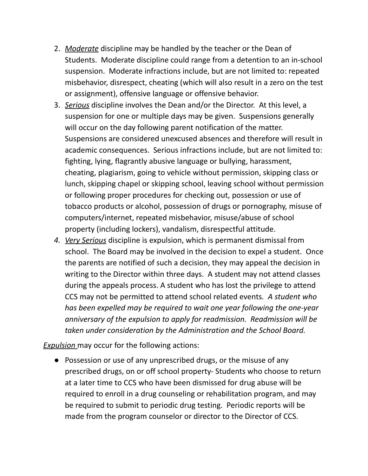- 2. *Moderate* discipline may be handled by the teacher or the Dean of Students. Moderate discipline could range from a detention to an in-school suspension. Moderate infractions include, but are not limited to: repeated misbehavior, disrespect, cheating (which will also result in a zero on the test or assignment), offensive language or offensive behavior.
- 3. *Serious* discipline involves the Dean and/or the Director. At this level, a suspension for one or multiple days may be given. Suspensions generally will occur on the day following parent notification of the matter. Suspensions are considered unexcused absences and therefore will result in academic consequences. Serious infractions include, but are not limited to: fighting, lying, flagrantly abusive language or bullying, harassment, cheating, plagiarism, going to vehicle without permission, skipping class or lunch, skipping chapel or skipping school, leaving school without permission or following proper procedures for checking out, possession or use of tobacco products or alcohol, possession of drugs or pornography, misuse of computers/internet, repeated misbehavior, misuse/abuse of school property (including lockers), vandalism, disrespectful attitude.
- *4. Very Serious* discipline is expulsion, which is permanent dismissal from school. The Board may be involved in the decision to expel a student. Once the parents are notified of such a decision, they may appeal the decision in writing to the Director within three days. A student may not attend classes during the appeals process. A student who has lost the privilege to attend CCS may not be permitted to attend school related events*. A student who has been expelled may be required to wait one year following the one-year anniversary of the expulsion to apply for readmission. Readmission will be taken under consideration by the Administration and the School Board.*

*Expulsion* may occur for the following actions:

● Possession or use of any unprescribed drugs, or the misuse of any prescribed drugs, on or off school property- Students who choose to return at a later time to CCS who have been dismissed for drug abuse will be required to enroll in a drug counseling or rehabilitation program, and may be required to submit to periodic drug testing. Periodic reports will be made from the program counselor or director to the Director of CCS.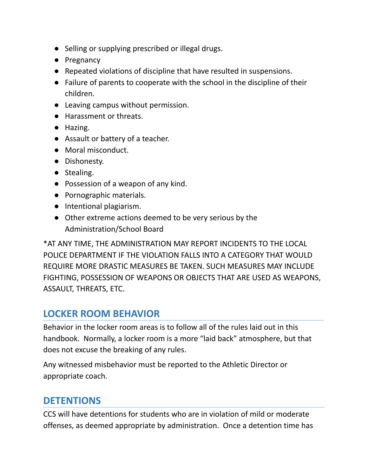- Selling or supplying prescribed or illegal drugs.
- Pregnancy
- Repeated violations of discipline that have resulted in suspensions.
- Failure of parents to cooperate with the school in the discipline of their children.
- Leaving campus without permission.
- Harassment or threats.
- Hazing.
- Assault or battery of a teacher.
- Moral misconduct.
- Dishonesty.
- Stealing.
- Possession of a weapon of any kind.
- Pornographic materials.
- Intentional plagiarism.
- Other extreme actions deemed to be very serious by the Administration/School Board

\*AT ANY TIME, THE ADMINISTRATION MAY REPORT INCIDENTS TO THE LOCAL POLICE DEPARTMENT IF THE VIOLATION FALLS INTO A CATEGORY THAT WOULD REQUIRE MORE DRASTIC MEASURES BE TAKEN. SUCH MEASURES MAY INCLUDE FIGHTING, POSSESSION OF WEAPONS OR OBJECTS THAT ARE USED AS WEAPONS, ASSAULT, THREATS, ETC.

# **LOCKER ROOM BEHAVIOR**

Behavior in the locker room areas is to follow all of the rules laid out in this handbook. Normally, a locker room is a more "laid back" atmosphere, but that does not excuse the breaking of any rules.

Any witnessed misbehavior must be reported to the Athletic Director or appropriate coach.

# **DETENTIONS**

CCS will have detentions for students who are in violation of mild or moderate offenses, as deemed appropriate by administration. Once a detention time has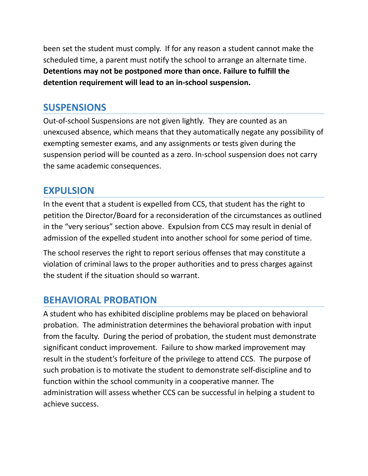been set the student must comply. If for any reason a student cannot make the scheduled time, a parent must notify the school to arrange an alternate time. **Detentions may not be postponed more than once. Failure to fulfill the detention requirement will lead to an in-school suspension.**

## **SUSPENSIONS**

Out-of-school Suspensions are not given lightly. They are counted as an unexcused absence, which means that they automatically negate any possibility of exempting semester exams, and any assignments or tests given during the suspension period will be counted as a zero. In-school suspension does not carry the same academic consequences.

## **EXPULSION**

In the event that a student is expelled from CCS, that student has the right to petition the Director/Board for a reconsideration of the circumstances as outlined in the "very serious" section above. Expulsion from CCS may result in denial of admission of the expelled student into another school for some period of time.

The school reserves the right to report serious offenses that may constitute a violation of criminal laws to the proper authorities and to press charges against the student if the situation should so warrant.

# **BEHAVIORAL PROBATION**

A student who has exhibited discipline problems may be placed on behavioral probation. The administration determines the behavioral probation with input from the faculty. During the period of probation, the student must demonstrate significant conduct improvement. Failure to show marked improvement may result in the student's forfeiture of the privilege to attend CCS. The purpose of such probation is to motivate the student to demonstrate self-discipline and to function within the school community in a cooperative manner. The administration will assess whether CCS can be successful in helping a student to achieve success.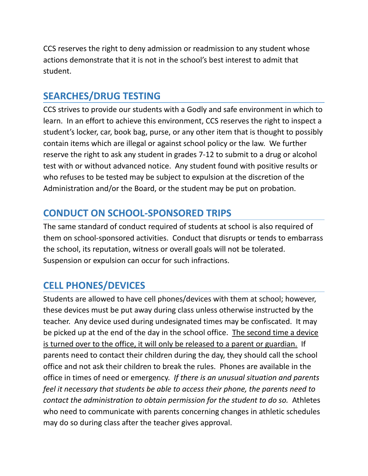CCS reserves the right to deny admission or readmission to any student whose actions demonstrate that it is not in the school's best interest to admit that student.

# **SEARCHES/DRUG TESTING**

CCS strives to provide our students with a Godly and safe environment in which to learn. In an effort to achieve this environment, CCS reserves the right to inspect a student's locker, car, book bag, purse, or any other item that is thought to possibly contain items which are illegal or against school policy or the law. We further reserve the right to ask any student in grades 7-12 to submit to a drug or alcohol test with or without advanced notice. Any student found with positive results or who refuses to be tested may be subject to expulsion at the discretion of the Administration and/or the Board, or the student may be put on probation.

# **CONDUCT ON SCHOOL-SPONSORED TRIPS**

The same standard of conduct required of students at school is also required of them on school-sponsored activities. Conduct that disrupts or tends to embarrass the school, its reputation, witness or overall goals will not be tolerated. Suspension or expulsion can occur for such infractions.

# **CELL PHONES/DEVICES**

Students are allowed to have cell phones/devices with them at school; however, these devices must be put away during class unless otherwise instructed by the teacher. Any device used during undesignated times may be confiscated. It may be picked up at the end of the day in the school office. The second time a device is turned over to the office, it will only be released to a parent or guardian. If parents need to contact their children during the day, they should call the school office and not ask their children to break the rules. Phones are available in the office in times of need or emergency. *If there is an unusual situation and parents feel it necessary that students be able to access their phone, the parents need to contact the administration to obtain permission for the student to do so.* Athletes who need to communicate with parents concerning changes in athletic schedules may do so during class after the teacher gives approval.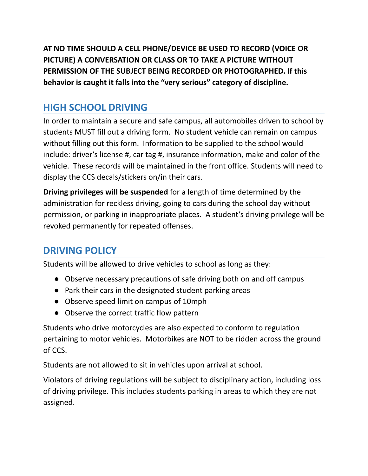**AT NO TIME SHOULD A CELL PHONE/DEVICE BE USED TO RECORD (VOICE OR PICTURE) A CONVERSATION OR CLASS OR TO TAKE A PICTURE WITHOUT PERMISSION OF THE SUBJECT BEING RECORDED OR PHOTOGRAPHED. If this behavior is caught it falls into the "very serious" category of discipline.**

# **HIGH SCHOOL DRIVING**

In order to maintain a secure and safe campus, all automobiles driven to school by students MUST fill out a driving form. No student vehicle can remain on campus without filling out this form. Information to be supplied to the school would include: driver's license #, car tag #, insurance information, make and color of the vehicle. These records will be maintained in the front office. Students will need to display the CCS decals/stickers on/in their cars.

**Driving privileges will be suspended** for a length of time determined by the administration for reckless driving, going to cars during the school day without permission, or parking in inappropriate places. A student's driving privilege will be revoked permanently for repeated offenses.

# **DRIVING POLICY**

Students will be allowed to drive vehicles to school as long as they:

- Observe necessary precautions of safe driving both on and off campus
- Park their cars in the designated student parking areas
- Observe speed limit on campus of 10mph
- Observe the correct traffic flow pattern

Students who drive motorcycles are also expected to conform to regulation pertaining to motor vehicles. Motorbikes are NOT to be ridden across the ground of CCS.

Students are not allowed to sit in vehicles upon arrival at school.

Violators of driving regulations will be subject to disciplinary action, including loss of driving privilege. This includes students parking in areas to which they are not assigned.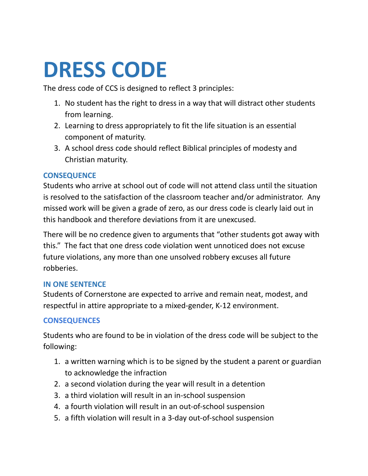# **DRESS CODE**

The dress code of CCS is designed to reflect 3 principles:

- 1. No student has the right to dress in a way that will distract other students from learning.
- 2. Learning to dress appropriately to fit the life situation is an essential component of maturity.
- 3. A school dress code should reflect Biblical principles of modesty and Christian maturity.

#### **CONSEQUENCE**

Students who arrive at school out of code will not attend class until the situation is resolved to the satisfaction of the classroom teacher and/or administrator. Any missed work will be given a grade of zero, as our dress code is clearly laid out in this handbook and therefore deviations from it are unexcused.

There will be no credence given to arguments that "other students got away with this." The fact that one dress code violation went unnoticed does not excuse future violations, any more than one unsolved robbery excuses all future robberies.

#### **IN ONE SENTENCE**

Students of Cornerstone are expected to arrive and remain neat, modest, and respectful in attire appropriate to a mixed-gender, K-12 environment.

### **CONSEQUENCES**

Students who are found to be in violation of the dress code will be subject to the following:

- 1. a written warning which is to be signed by the student a parent or guardian to acknowledge the infraction
- 2. a second violation during the year will result in a detention
- 3. a third violation will result in an in-school suspension
- 4. a fourth violation will result in an out-of-school suspension
- 5. a fifth violation will result in a 3-day out-of-school suspension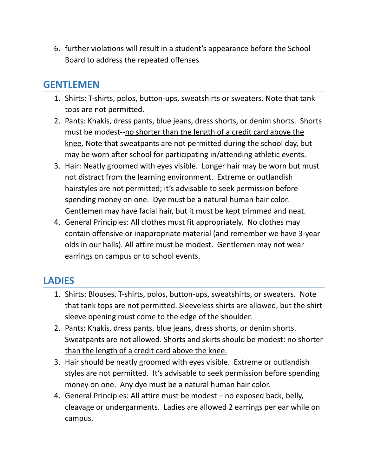6. further violations will result in a student's appearance before the School Board to address the repeated offenses

### **GENTLEMEN**

- 1. Shirts: T-shirts, polos, button-ups, sweatshirts or sweaters. Note that tank tops are not permitted.
- 2. Pants: Khakis, dress pants, blue jeans, dress shorts, or denim shorts. Shorts must be modest--no shorter than the length of a credit card above the knee. Note that sweatpants are not permitted during the school day, but may be worn after school for participating in/attending athletic events.
- 3. Hair: Neatly groomed with eyes visible. Longer hair may be worn but must not distract from the learning environment. Extreme or outlandish hairstyles are not permitted; it's advisable to seek permission before spending money on one. Dye must be a natural human hair color. Gentlemen may have facial hair, but it must be kept trimmed and neat.
- 4. General Principles: All clothes must fit appropriately. No clothes may contain offensive or inappropriate material (and remember we have 3-year olds in our halls). All attire must be modest. Gentlemen may not wear earrings on campus or to school events.

# **LADIES**

- 1. Shirts: Blouses, T-shirts, polos, button-ups, sweatshirts, or sweaters. Note that tank tops are not permitted. Sleeveless shirts are allowed, but the shirt sleeve opening must come to the edge of the shoulder.
- 2. Pants: Khakis, dress pants, blue jeans, dress shorts, or denim shorts. Sweatpants are not allowed. Shorts and skirts should be modest: no shorter than the length of a credit card above the knee.
- 3. Hair should be neatly groomed with eyes visible. Extreme or outlandish styles are not permitted. It's advisable to seek permission before spending money on one. Any dye must be a natural human hair color.
- 4. General Principles: All attire must be modest no exposed back, belly, cleavage or undergarments. Ladies are allowed 2 earrings per ear while on campus.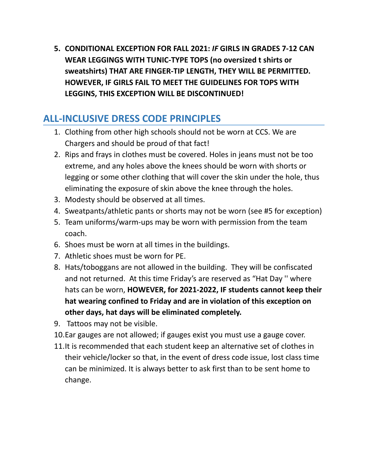**5. CONDITIONAL EXCEPTION FOR FALL 2021:** *IF* **GIRLS IN GRADES 7-12 CAN WEAR LEGGINGS WITH TUNIC-TYPE TOPS (no oversized t shirts or sweatshirts) THAT ARE FINGER-TIP LENGTH, THEY WILL BE PERMITTED. HOWEVER, IF GIRLS FAIL TO MEET THE GUIDELINES FOR TOPS WITH LEGGINS, THIS EXCEPTION WILL BE DISCONTINUED!**

# **ALL-INCLUSIVE DRESS CODE PRINCIPLES**

- 1. Clothing from other high schools should not be worn at CCS. We are Chargers and should be proud of that fact!
- 2. Rips and frays in clothes must be covered. Holes in jeans must not be too extreme, and any holes above the knees should be worn with shorts or legging or some other clothing that will cover the skin under the hole, thus eliminating the exposure of skin above the knee through the holes.
- 3. Modesty should be observed at all times.
- 4. Sweatpants/athletic pants or shorts may not be worn (see #5 for exception)
- 5. Team uniforms/warm-ups may be worn with permission from the team coach.
- 6. Shoes must be worn at all times in the buildings.
- 7. Athletic shoes must be worn for PE.
- 8. Hats/toboggans are not allowed in the building. They will be confiscated and not returned. At this time Friday's are reserved as "Hat Day '' where hats can be worn, **HOWEVER, for 2021-2022, IF students cannot keep their hat wearing confined to Friday and are in violation of this exception on other days, hat days will be eliminated completely.**
- 9. Tattoos may not be visible.
- 10.Ear gauges are not allowed; if gauges exist you must use a gauge cover.
- 11.It is recommended that each student keep an alternative set of clothes in their vehicle/locker so that, in the event of dress code issue, lost class time can be minimized. It is always better to ask first than to be sent home to change.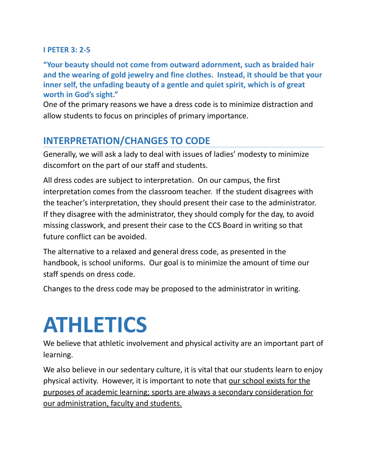#### **I PETER 3: 2-5**

**"Your beauty should not come from outward adornment, such as braided hair and the wearing of gold jewelry and fine clothes. Instead, it should be that your inner self, the unfading beauty of a gentle and quiet spirit, which is of great worth in God's sight."**

One of the primary reasons we have a dress code is to minimize distraction and allow students to focus on principles of primary importance.

### **INTERPRETATION/CHANGES TO CODE**

Generally, we will ask a lady to deal with issues of ladies' modesty to minimize discomfort on the part of our staff and students.

All dress codes are subject to interpretation. On our campus, the first interpretation comes from the classroom teacher. If the student disagrees with the teacher's interpretation, they should present their case to the administrator. If they disagree with the administrator, they should comply for the day, to avoid missing classwork, and present their case to the CCS Board in writing so that future conflict can be avoided.

The alternative to a relaxed and general dress code, as presented in the handbook, is school uniforms. Our goal is to minimize the amount of time our staff spends on dress code.

Changes to the dress code may be proposed to the administrator in writing.

# **ATHLETICS**

We believe that athletic involvement and physical activity are an important part of learning.

We also believe in our sedentary culture, it is vital that our students learn to enjoy physical activity. However, it is important to note that our school exists for the purposes of academic learning; sports are always a secondary consideration for our administration, faculty and students.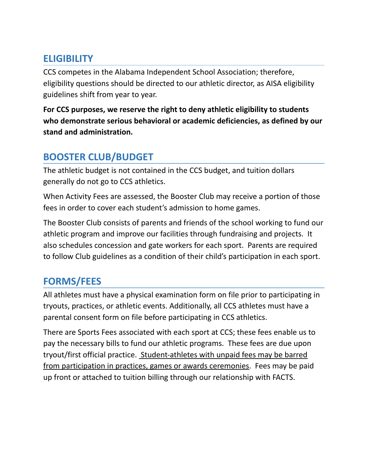## **ELIGIBILITY**

CCS competes in the Alabama Independent School Association; therefore, eligibility questions should be directed to our athletic director, as AISA eligibility guidelines shift from year to year.

**For CCS purposes, we reserve the right to deny athletic eligibility to students who demonstrate serious behavioral or academic deficiencies, as defined by our stand and administration.**

# **BOOSTER CLUB/BUDGET**

The athletic budget is not contained in the CCS budget, and tuition dollars generally do not go to CCS athletics.

When Activity Fees are assessed, the Booster Club may receive a portion of those fees in order to cover each student's admission to home games.

The Booster Club consists of parents and friends of the school working to fund our athletic program and improve our facilities through fundraising and projects. It also schedules concession and gate workers for each sport. Parents are required to follow Club guidelines as a condition of their child's participation in each sport.

# **FORMS/FEES**

All athletes must have a physical examination form on file prior to participating in tryouts, practices, or athletic events. Additionally, all CCS athletes must have a parental consent form on file before participating in CCS athletics.

There are Sports Fees associated with each sport at CCS; these fees enable us to pay the necessary bills to fund our athletic programs. These fees are due upon tryout/first official practice. Student-athletes with unpaid fees may be barred from participation in practices, games or awards ceremonies. Fees may be paid up front or attached to tuition billing through our relationship with FACTS.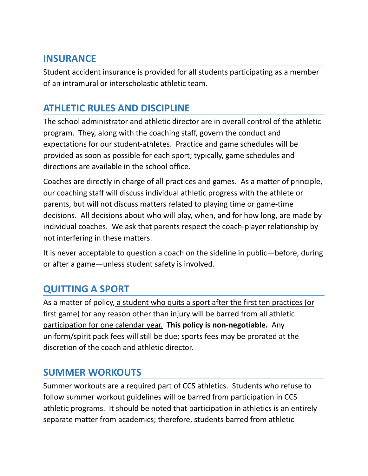### **INSURANCE**

Student accident insurance is provided for all students participating as a member of an intramural or interscholastic athletic team.

## **ATHLETIC RULES AND DISCIPLINE**

The school administrator and athletic director are in overall control of the athletic program. They, along with the coaching staff, govern the conduct and expectations for our student-athletes. Practice and game schedules will be provided as soon as possible for each sport; typically, game schedules and directions are available in the school office.

Coaches are directly in charge of all practices and games. As a matter of principle, our coaching staff will discuss individual athletic progress with the athlete or parents, but will not discuss matters related to playing time or game-time decisions. All decisions about who will play, when, and for how long, are made by individual coaches. We ask that parents respect the coach-player relationship by not interfering in these matters.

It is never acceptable to question a coach on the sideline in public—before, during or after a game—unless student safety is involved.

# **QUITTING A SPORT**

As a matter of policy, a student who quits a sport after the first ten practices (or first game) for any reason other than injury will be barred from all athletic participation for one calendar year. **This policy is non-negotiable.** Any uniform/spirit pack fees will still be due; sports fees may be prorated at the discretion of the coach and athletic director.

## **SUMMER WORKOUTS**

Summer workouts are a required part of CCS athletics. Students who refuse to follow summer workout guidelines will be barred from participation in CCS athletic programs. It should be noted that participation in athletics is an entirely separate matter from academics; therefore, students barred from athletic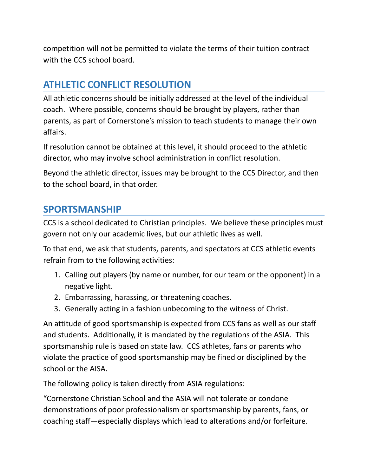competition will not be permitted to violate the terms of their tuition contract with the CCS school board.

# **ATHLETIC CONFLICT RESOLUTION**

All athletic concerns should be initially addressed at the level of the individual coach. Where possible, concerns should be brought by players, rather than parents, as part of Cornerstone's mission to teach students to manage their own affairs.

If resolution cannot be obtained at this level, it should proceed to the athletic director, who may involve school administration in conflict resolution.

Beyond the athletic director, issues may be brought to the CCS Director, and then to the school board, in that order.

### **SPORTSMANSHIP**

CCS is a school dedicated to Christian principles. We believe these principles must govern not only our academic lives, but our athletic lives as well.

To that end, we ask that students, parents, and spectators at CCS athletic events refrain from to the following activities:

- 1. Calling out players (by name or number, for our team or the opponent) in a negative light.
- 2. Embarrassing, harassing, or threatening coaches.
- 3. Generally acting in a fashion unbecoming to the witness of Christ.

An attitude of good sportsmanship is expected from CCS fans as well as our staff and students. Additionally, it is mandated by the regulations of the ASIA. This sportsmanship rule is based on state law. CCS athletes, fans or parents who violate the practice of good sportsmanship may be fined or disciplined by the school or the AISA.

The following policy is taken directly from ASIA regulations:

"Cornerstone Christian School and the ASIA will not tolerate or condone demonstrations of poor professionalism or sportsmanship by parents, fans, or coaching staff—especially displays which lead to alterations and/or forfeiture.